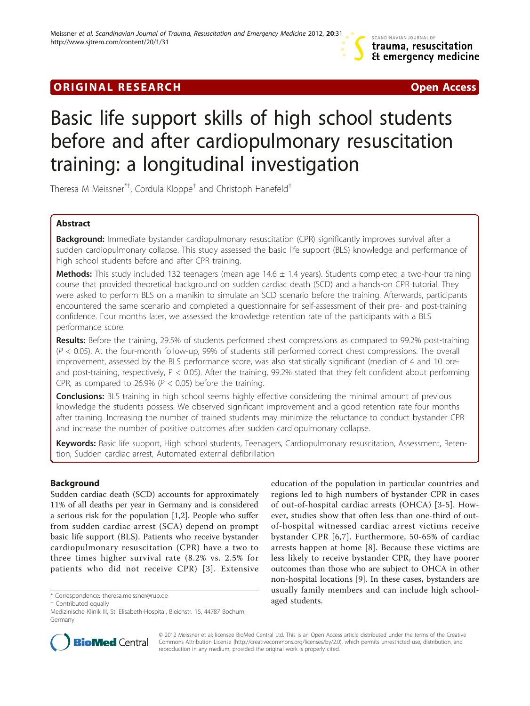# **ORIGINAL RESEARCH CONFIDENTIAL CONFIDENTIAL CONFIDENTIAL CONFIDENTIAL CONFIDENTIAL CONFIDENTIAL CONFIDENTIAL CONFIDENTIAL CONFIDENTIAL CONFIDENTIAL CONFIDENTIAL CONFIDENTIAL CONFIDENTIAL CONFIDENTIAL CONFIDENTIAL CONFIDEN**

# Basic life support skills of high school students before and after cardiopulmonary resuscitation training: a longitudinal investigation

Theresa M Meissner $^{*+}$ , Cordula Kloppe $^{\dagger}$  and Christoph Hanefeld $^{\dagger}$ 

# Abstract

Background: Immediate bystander cardiopulmonary resuscitation (CPR) significantly improves survival after a sudden cardiopulmonary collapse. This study assessed the basic life support (BLS) knowledge and performance of high school students before and after CPR training.

**Methods:** This study included 132 teenagers (mean age  $14.6 \pm 1.4$  years). Students completed a two-hour training course that provided theoretical background on sudden cardiac death (SCD) and a hands-on CPR tutorial. They were asked to perform BLS on a manikin to simulate an SCD scenario before the training. Afterwards, participants encountered the same scenario and completed a questionnaire for self-assessment of their pre- and post-training confidence. Four months later, we assessed the knowledge retention rate of the participants with a BLS performance score.

Results: Before the training, 29.5% of students performed chest compressions as compared to 99.2% post-training  $(P < 0.05)$ . At the four-month follow-up, 99% of students still performed correct chest compressions. The overall improvement, assessed by the BLS performance score, was also statistically significant (median of 4 and 10 preand post-training, respectively,  $P < 0.05$ ). After the training, 99.2% stated that they felt confident about performing CPR, as compared to 26.9% ( $P < 0.05$ ) before the training.

**Conclusions:** BLS training in high school seems highly effective considering the minimal amount of previous knowledge the students possess. We observed significant improvement and a good retention rate four months after training. Increasing the number of trained students may minimize the reluctance to conduct bystander CPR and increase the number of positive outcomes after sudden cardiopulmonary collapse.

Keywords: Basic life support, High school students, Teenagers, Cardiopulmonary resuscitation, Assessment, Retention, Sudden cardiac arrest, Automated external defibrillation

# Background

Sudden cardiac death (SCD) accounts for approximately 11% of all deaths per year in Germany and is considered a serious risk for the population [\[1,2\]](#page-6-0). People who suffer from sudden cardiac arrest (SCA) depend on prompt basic life support (BLS). Patients who receive bystander cardiopulmonary resuscitation (CPR) have a two to three times higher survival rate (8.2% vs. 2.5% for patients who did not receive CPR) [[3\]](#page-6-0). Extensive

\* Correspondence: [theresa.meissner@rub.de](mailto:theresa.meissner@rub.de)<br>
+ Contributed equally

† Contributed equally

education of the population in particular countries and regions led to high numbers of bystander CPR in cases of out-of-hospital cardiac arrests (OHCA) [[3-5\]](#page-6-0). However, studies show that often less than one-third of outof-hospital witnessed cardiac arrest victims receive bystander CPR [[6,7](#page-6-0)]. Furthermore, 50-65% of cardiac arrests happen at home [[8\]](#page-6-0). Because these victims are less likely to receive bystander CPR, they have poorer outcomes than those who are subject to OHCA in other non-hospital locations [[9\]](#page-6-0). In these cases, bystanders are usually family members and can include high school-



© 2012 Meissner et al; licensee BioMed Central Ltd. This is an Open Access article distributed under the terms of the Creative Commons Attribution License [\(http://creativecommons.org/licenses/by/2.0](http://creativecommons.org/licenses/by/2.0)), which permits unrestricted use, distribution, and reproduction in any medium, provided the original work is properly cited.

Medizinische Klinik III, St. Elisabeth-Hospital, Bleichstr. 15, 44787 Bochum, Germany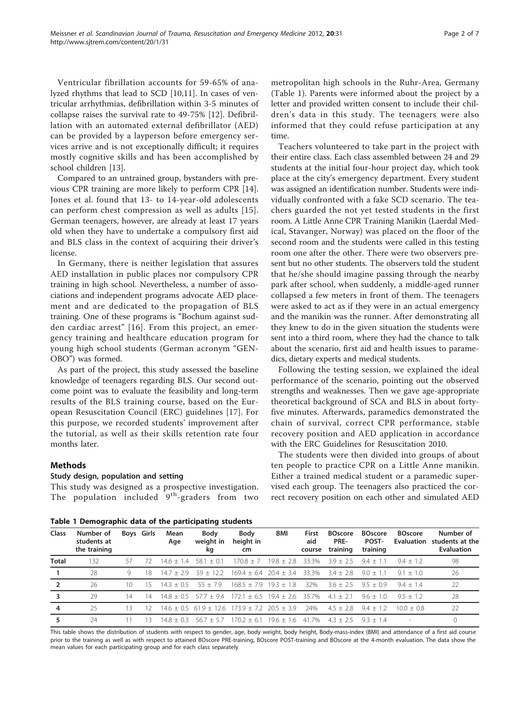<span id="page-1-0"></span>Ventricular fibrillation accounts for 59-65% of analyzed rhythms that lead to SCD [[10](#page-6-0),[11](#page-6-0)]. In cases of ventricular arrhythmias, defibrillation within 3-5 minutes of collapse raises the survival rate to 49-75% [\[12](#page-6-0)]. Defibrillation with an automated external defibrillator (AED) can be provided by a layperson before emergency services arrive and is not exceptionally difficult; it requires mostly cognitive skills and has been accomplished by school children [[13\]](#page-6-0).

Compared to an untrained group, bystanders with previous CPR training are more likely to perform CPR [\[14](#page-6-0)]. Jones et al. found that 13- to 14-year-old adolescents can perform chest compression as well as adults [[15](#page-6-0)]. German teenagers, however, are already at least 17 years old when they have to undertake a compulsory first aid and BLS class in the context of acquiring their driver's license.

In Germany, there is neither legislation that assures AED installation in public places nor compulsory CPR training in high school. Nevertheless, a number of associations and independent programs advocate AED placement and are dedicated to the propagation of BLS training. One of these programs is "Bochum against sudden cardiac arrest" [[16\]](#page-6-0). From this project, an emergency training and healthcare education program for young high school students (German acronym "GEN-OBO") was formed.

As part of the project, this study assessed the baseline knowledge of teenagers regarding BLS. Our second outcome point was to evaluate the feasibility and long-term results of the BLS training course, based on the European Resuscitation Council (ERC) guidelines [\[17](#page-6-0)]. For this purpose, we recorded students' improvement after the tutorial, as well as their skills retention rate four months later.

# Methods

Class Number of students at the training

# Study design, population and setting

This study was designed as a prospective investigation. The population included  $9<sup>th</sup>$ -graders from two metropolitan high schools in the Ruhr-Area, Germany (Table 1). Parents were informed about the project by a letter and provided written consent to include their children's data in this study. The teenagers were also informed that they could refuse participation at any time.

Teachers volunteered to take part in the project with their entire class. Each class assembled between 24 and 29 students at the initial four-hour project day, which took place at the city's emergency department. Every student was assigned an identification number. Students were individually confronted with a fake SCD scenario. The teachers guarded the not yet tested students in the first room. A Little Anne CPR Training Manikin (Laerdal Medical, Stavanger, Norway) was placed on the floor of the second room and the students were called in this testing room one after the other. There were two observers present but no other students. The observers told the student that he/she should imagine passing through the nearby park after school, when suddenly, a middle-aged runner collapsed a few meters in front of them. The teenagers were asked to act as if they were in an actual emergency and the manikin was the runner. After demonstrating all they knew to do in the given situation the students were sent into a third room, where they had the chance to talk about the scenario, first aid and health issues to paramedics, dietary experts and medical students.

Following the testing session, we explained the ideal performance of the scenario, pointing out the observed strengths and weaknesses. Then we gave age-appropriate theoretical background of SCA and BLS in about fortyfive minutes. Afterwards, paramedics demonstrated the chain of survival, correct CPR performance, stable recovery position and AED application in accordance with the ERC Guidelines for Resuscitation 2010.

The students were then divided into groups of about ten people to practice CPR on a Little Anne manikin. Either a trained medical student or a paramedic supervised each group. The teenagers also practiced the correct recovery position on each other and simulated AED

> BOscore POSTtraining

BOscore Evaluation

Number of students at the Evaluation

Table 1 Demographic data of the participating students Boys Girls Mean

Age

Body weight in kg

**3** 29 14 14  $14.8 \pm 0.5$  57.7  $\pm$  9.4 172.1  $\pm$  6.5 19.4  $\pm$  2.6 35.7% 4.1  $\pm$  2.1 9.6  $\pm$  1.0 9.5  $\pm$  1.2 28 4 25 13 12  $14.6 \pm 0.5$  61.9  $\pm$  12.6 173.9  $\pm$  7.2 20.5  $\pm$  3.9 24% 4.5  $\pm$  2.8 9.4  $\pm$  1.2 10.0  $\pm$  0.8 22 **5** 24 11 13  $14.8 \pm 0.3$  56.7  $\pm 5.7$  170.2  $\pm 6.1$  19.6  $\pm 1.6$  41.7%  $4.3 \pm 2.5$  9.3  $\pm 1.4$  - 0 This table shows the distribution of students with respect to gender, age, body weight, body height, Body-mass-index (BMI) and attendance of a first aid course prior to the training as well as with respect to attained BOscore PRE-training, BOscore POST-training and BOscore at the 4-month evaluation. The data show the mean values for each participating group and for each class separately

Body height in cm

**Total** 132 57 72  $14.6 \pm 1.4$   $58.1 \pm 0.1$   $170.8 \pm 7$   $19.8 \pm 2.8$   $33.3\%$   $3.9 \pm 2.5$   $9.4 \pm 1.1$   $9.4 \pm 1.2$  98 **1** 28 9 18  $14.7 \pm 2.9$  59  $\pm$  12.2  $169.4 \pm 6.4$  20.4  $\pm$  3.4  $33.3\%$  3.4  $\pm$  2.8  $9.0 \pm 1.1$  9.1  $\pm$  1.0 26 **2** 26 10 15  $14.3 \pm 0.5$  55  $\pm$  7.9  $168.5 \pm 7.9$  19.3  $\pm$  1.8 32% 3.6  $\pm$  2.5 9.5  $\pm$  0.9 9.4  $\pm$  1.4 22

BMI First aid course BOscore PREtraining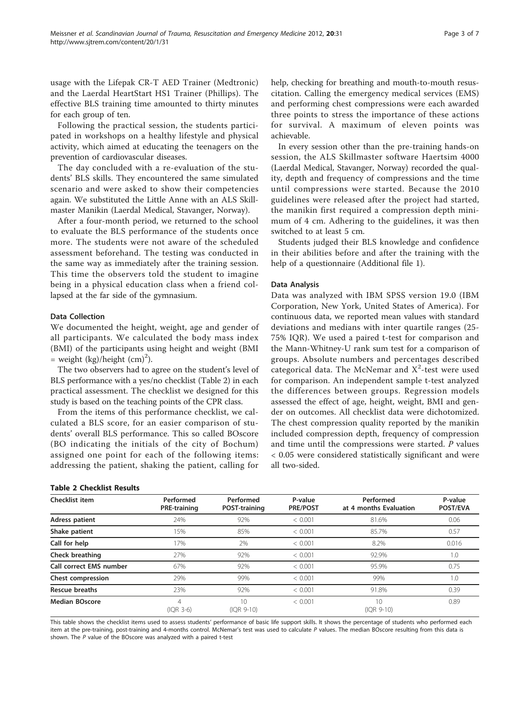<span id="page-2-0"></span>usage with the Lifepak CR-T AED Trainer (Medtronic) and the Laerdal HeartStart HS1 Trainer (Phillips). The effective BLS training time amounted to thirty minutes for each group of ten.

Following the practical session, the students participated in workshops on a healthy lifestyle and physical activity, which aimed at educating the teenagers on the prevention of cardiovascular diseases.

The day concluded with a re-evaluation of the students' BLS skills. They encountered the same simulated scenario and were asked to show their competencies again. We substituted the Little Anne with an ALS Skillmaster Manikin (Laerdal Medical, Stavanger, Norway).

After a four-month period, we returned to the school to evaluate the BLS performance of the students once more. The students were not aware of the scheduled assessment beforehand. The testing was conducted in the same way as immediately after the training session. This time the observers told the student to imagine being in a physical education class when a friend collapsed at the far side of the gymnasium.

# Data Collection

We documented the height, weight, age and gender of all participants. We calculated the body mass index (BMI) of the participants using height and weight (BMI = weight  $(kg)/height (cm)<sup>2</sup>$ ).

The two observers had to agree on the student's level of BLS performance with a yes/no checklist (Table 2) in each practical assessment. The checklist we designed for this study is based on the teaching points of the CPR class.

From the items of this performance checklist, we calculated a BLS score, for an easier comparison of students' overall BLS performance. This so called BOscore (BO indicating the initials of the city of Bochum) assigned one point for each of the following items: addressing the patient, shaking the patient, calling for

|  |  | <b>Table 2 Checklist Results</b> |  |
|--|--|----------------------------------|--|
|--|--|----------------------------------|--|

help, checking for breathing and mouth-to-mouth resuscitation. Calling the emergency medical services (EMS) and performing chest compressions were each awarded three points to stress the importance of these actions for survival. A maximum of eleven points was achievable.

In every session other than the pre-training hands-on session, the ALS Skillmaster software Haertsim 4000 (Laerdal Medical, Stavanger, Norway) recorded the quality, depth and frequency of compressions and the time until compressions were started. Because the 2010 guidelines were released after the project had started, the manikin first required a compression depth minimum of 4 cm. Adhering to the guidelines, it was then switched to at least 5 cm.

Students judged their BLS knowledge and confidence in their abilities before and after the training with the help of a questionnaire (Additional file [1](#page-5-0)).

#### Data Analysis

Data was analyzed with IBM SPSS version 19.0 (IBM Corporation, New York, United States of America). For continuous data, we reported mean values with standard deviations and medians with inter quartile ranges (25- 75% IQR). We used a paired t-test for comparison and the Mann-Whitney-U rank sum test for a comparison of groups. Absolute numbers and percentages described categorical data. The McNemar and  $X^2$ -test were used for comparison. An independent sample t-test analyzed the differences between groups. Regression models assessed the effect of age, height, weight, BMI and gender on outcomes. All checklist data were dichotomized. The chest compression quality reported by the manikin included compression depth, frequency of compression and time until the compressions were started.  $P$  values < 0.05 were considered statistically significant and were all two-sided.

| Checklist item          | Performed<br><b>PRE-training</b> | Performed<br>POST-training | P-value<br><b>PRE/POST</b> | Performed<br>at 4 months Evaluation | P-value<br>POST/EVA |
|-------------------------|----------------------------------|----------------------------|----------------------------|-------------------------------------|---------------------|
| Adress patient          | 24%                              | 92%                        | < 0.001                    | 81.6%                               | 0.06                |
| Shake patient           | 15%                              | 85%                        | 85.7%<br>< 0.001           |                                     | 0.57                |
| Call for help           | 17%                              | 2%                         | < 0.001                    | 8.2%                                | 0.016               |
| Check breathing         | 27%                              | 92%                        | < 0.001                    | 92.9%                               | 1.0                 |
| Call correct EMS number | 92%<br>67%                       |                            | < 0.001                    | 95.9%                               | 0.75                |
| Chest compression       | 29%                              | 99%                        | < 0.001                    | 99%                                 | 1.0                 |
| <b>Rescue breaths</b>   | 23%                              | 92%                        | < 0.001                    | 91.8%                               | 0.39                |
| <b>Median BOscore</b>   | 4<br>$(IOR 3-6)$                 | 10<br>$(IOR 9-10)$         | < 0.001                    | 10<br>$(1OR 9-10)$                  | 0.89                |

This table shows the checklist items used to assess students' performance of basic life support skills. It shows the percentage of students who performed each item at the pre-training, post-training and 4-months control. McNemar's test was used to calculate P values. The median BOscore resulting from this data is shown. The P value of the BOscore was analyzed with a paired t-test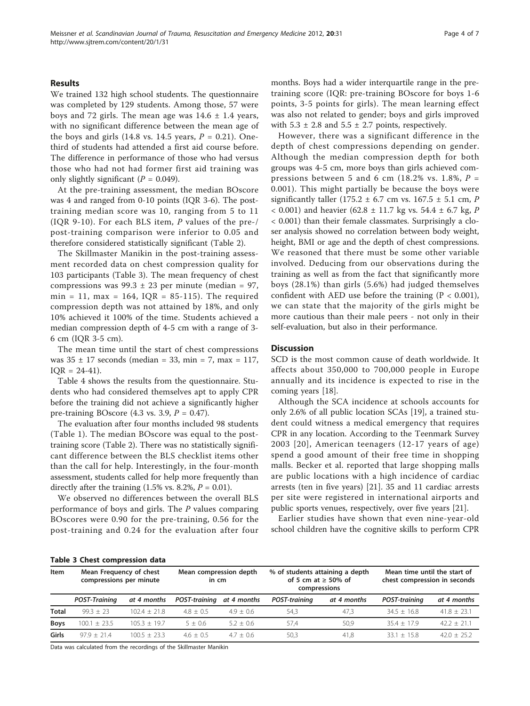### Results

We trained 132 high school students. The questionnaire was completed by 129 students. Among those, 57 were boys and 72 girls. The mean age was  $14.6 \pm 1.4$  years, with no significant difference between the mean age of the boys and girls (14.8 vs. 14.5 years,  $P = 0.21$ ). Onethird of students had attended a first aid course before. The difference in performance of those who had versus those who had not had former first aid training was only slightly significant ( $P = 0.049$ ).

At the pre-training assessment, the median BOscore was 4 and ranged from 0-10 points (IQR 3-6). The posttraining median score was 10, ranging from 5 to 11 (IQR 9-10). For each BLS item, P values of the pre-/ post-training comparison were inferior to 0.05 and therefore considered statistically significant (Table [2\)](#page-2-0).

The Skillmaster Manikin in the post-training assessment recorded data on chest compression quality for 103 participants (Table 3). The mean frequency of chest compressions was  $99.3 \pm 23$  per minute (median = 97, min = 11, max = 164,  $IQR = 85-115$ ). The required compression depth was not attained by 18%, and only 10% achieved it 100% of the time. Students achieved a median compression depth of 4-5 cm with a range of 3- 6 cm (IQR 3-5 cm).

The mean time until the start of chest compressions was  $35 \pm 17$  seconds (median = 33, min = 7, max = 117,  $IQR = 24-41$ ).

Table [4](#page-4-0) shows the results from the questionnaire. Students who had considered themselves apt to apply CPR before the training did not achieve a significantly higher pre-training BOscore (4.3 vs. 3.9,  $P = 0.47$ ).

The evaluation after four months included 98 students (Table [1](#page-1-0)). The median BOscore was equal to the posttraining score (Table [2](#page-2-0)). There was no statistically significant difference between the BLS checklist items other than the call for help. Interestingly, in the four-month assessment, students called for help more frequently than directly after the training  $(1.5\% \text{ vs. } 8.2\%, P = 0.01)$ .

We observed no differences between the overall BLS performance of boys and girls. The P values comparing BOscores were 0.90 for the pre-training, 0.56 for the post-training and 0.24 for the evaluation after four months. Boys had a wider interquartile range in the pretraining score (IQR: pre-training BOscore for boys 1-6 points, 3-5 points for girls). The mean learning effect was also not related to gender; boys and girls improved with  $5.3 \pm 2.8$  and  $5.5 \pm 2.7$  points, respectively.

However, there was a significant difference in the depth of chest compressions depending on gender. Although the median compression depth for both groups was 4-5 cm, more boys than girls achieved compressions between 5 and 6 cm (18.2% vs. 1.8%,  $P =$ 0.001). This might partially be because the boys were significantly taller (175.2  $\pm$  6.7 cm vs. 167.5  $\pm$  5.1 cm, P  $<$  0.001) and heavier (62.8  $\pm$  11.7 kg vs. 54.4  $\pm$  6.7 kg, P < 0.001) than their female classmates. Surprisingly a closer analysis showed no correlation between body weight, height, BMI or age and the depth of chest compressions. We reasoned that there must be some other variable involved. Deducing from our observations during the training as well as from the fact that significantly more boys (28.1%) than girls (5.6%) had judged themselves confident with AED use before the training  $(P < 0.001)$ , we can state that the majority of the girls might be more cautious than their male peers - not only in their self-evaluation, but also in their performance.

# **Discussion**

SCD is the most common cause of death worldwide. It affects about 350,000 to 700,000 people in Europe annually and its incidence is expected to rise in the coming years [\[18\]](#page-6-0).

Although the SCA incidence at schools accounts for only 2.6% of all public location SCAs [[19](#page-6-0)], a trained student could witness a medical emergency that requires CPR in any location. According to the Teenmark Survey 2003 [[20](#page-6-0)], American teenagers (12-17 years of age) spend a good amount of their free time in shopping malls. Becker et al. reported that large shopping malls are public locations with a high incidence of cardiac arrests (ten in five years) [[21\]](#page-6-0). 35 and 11 cardiac arrests per site were registered in international airports and public sports venues, respectively, over five years [[21\]](#page-6-0).

Earlier studies have shown that even nine-year-old school children have the cognitive skills to perform CPR

#### Table 3 Chest compression data

| Item         | Mean Frequency of chest<br>compressions per minute |                | Mean compression depth<br>in cm |             | % of students attaining a depth<br>of 5 cm at $\ge$ 50% of<br>compressions |             | Mean time until the start of<br>chest compression in seconds |               |
|--------------|----------------------------------------------------|----------------|---------------------------------|-------------|----------------------------------------------------------------------------|-------------|--------------------------------------------------------------|---------------|
|              | POST-Training                                      | at 4 months    | POST-training at 4 months       |             | POST-training                                                              | at 4 months | POST-training                                                | at 4 months   |
| <b>Total</b> | $993 + 23$                                         | $102.4 + 21.8$ | $4.8 + 0.5$                     | $49 + 06$   | 54.3                                                                       | 47.3        | $34.5 + 16.8$                                                | $41.8 + 23.1$ |
| <b>Boys</b>  | $100.1 \pm 23.5$                                   | $105.3 + 19.7$ | $5 \pm 0.6$                     | $5.2 + 0.6$ | 57.4                                                                       | 50.9        | $354 + 179$                                                  | $422 + 211$   |
| Girls        | $97.9 + 21.4$                                      | $100.5 + 23.3$ | $4.6 + 0.5$                     | $4.7 + 0.6$ | 50.3                                                                       | 41.8        | $33.1 + 15.8$                                                | $42.0 + 25.2$ |

Data was calculated from the recordings of the Skillmaster Manikin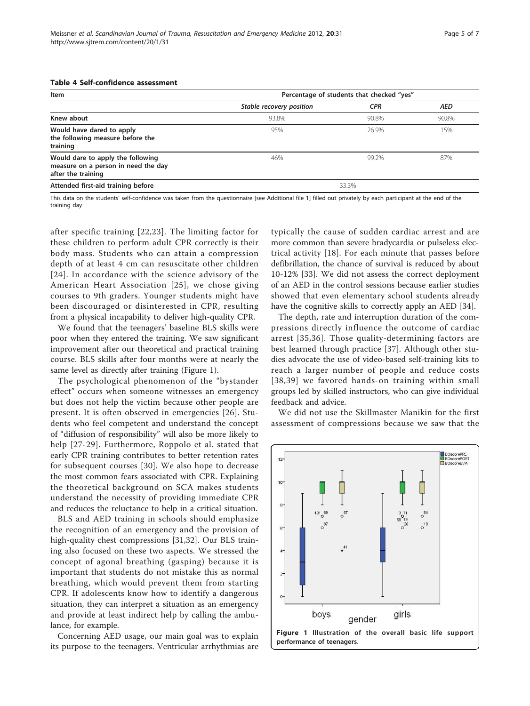#### <span id="page-4-0"></span>Table 4 Self-confidence assessment

| Item                                                                                           | Percentage of students that checked "yes" |            |            |  |  |
|------------------------------------------------------------------------------------------------|-------------------------------------------|------------|------------|--|--|
|                                                                                                | Stable recovery position                  | <b>CPR</b> | <b>AED</b> |  |  |
| Knew about                                                                                     | 93.8%                                     | 90.8%      | 90.8%      |  |  |
| Would have dared to apply<br>the following measure before the<br>training                      | 95%                                       | 26.9%      | 15%        |  |  |
| Would dare to apply the following<br>measure on a person in need the day<br>after the training | 46%                                       | 99.2%      | 87%        |  |  |
| Attended first-aid training before                                                             | 33.3%                                     |            |            |  |  |

This data on the students' self-confidence was taken from the questionnaire [see Additional file [1](#page-5-0)] filled out privately by each participant at the end of the training day

after specific training [[22](#page-6-0),[23](#page-6-0)]. The limiting factor for these children to perform adult CPR correctly is their body mass. Students who can attain a compression depth of at least 4 cm can resuscitate other children [[24\]](#page-6-0). In accordance with the science advisory of the American Heart Association [[25](#page-6-0)], we chose giving courses to 9th graders. Younger students might have been discouraged or disinterested in CPR, resulting from a physical incapability to deliver high-quality CPR.

We found that the teenagers' baseline BLS skills were poor when they entered the training. We saw significant improvement after our theoretical and practical training course. BLS skills after four months were at nearly the same level as directly after training (Figure 1).

The psychological phenomenon of the "bystander effect" occurs when someone witnesses an emergency but does not help the victim because other people are present. It is often observed in emergencies [\[26\]](#page-6-0). Students who feel competent and understand the concept of "diffusion of responsibility" will also be more likely to help [[27-29](#page-6-0)]. Furthermore, Roppolo et al. stated that early CPR training contributes to better retention rates for subsequent courses [[30\]](#page-6-0). We also hope to decrease the most common fears associated with CPR. Explaining the theoretical background on SCA makes students understand the necessity of providing immediate CPR and reduces the reluctance to help in a critical situation.

BLS and AED training in schools should emphasize the recognition of an emergency and the provision of high-quality chest compressions [[31,32\]](#page-6-0). Our BLS training also focused on these two aspects. We stressed the concept of agonal breathing (gasping) because it is important that students do not mistake this as normal breathing, which would prevent them from starting CPR. If adolescents know how to identify a dangerous situation, they can interpret a situation as an emergency and provide at least indirect help by calling the ambulance, for example.

Concerning AED usage, our main goal was to explain its purpose to the teenagers. Ventricular arrhythmias are

typically the cause of sudden cardiac arrest and are more common than severe bradycardia or pulseless electrical activity [[18\]](#page-6-0). For each minute that passes before defibrillation, the chance of survival is reduced by about 10-12% [[33\]](#page-6-0). We did not assess the correct deployment of an AED in the control sessions because earlier studies showed that even elementary school students already have the cognitive skills to correctly apply an AED [[34\]](#page-6-0).

The depth, rate and interruption duration of the compressions directly influence the outcome of cardiac arrest [[35,36\]](#page-6-0). Those quality-determining factors are best learned through practice [\[37](#page-6-0)]. Although other studies advocate the use of video-based self-training kits to reach a larger number of people and reduce costs [[38](#page-6-0),[39](#page-6-0)] we favored hands-on training within small groups led by skilled instructors, who can give individual feedback and advice.

We did not use the Skillmaster Manikin for the first assessment of compressions because we saw that the

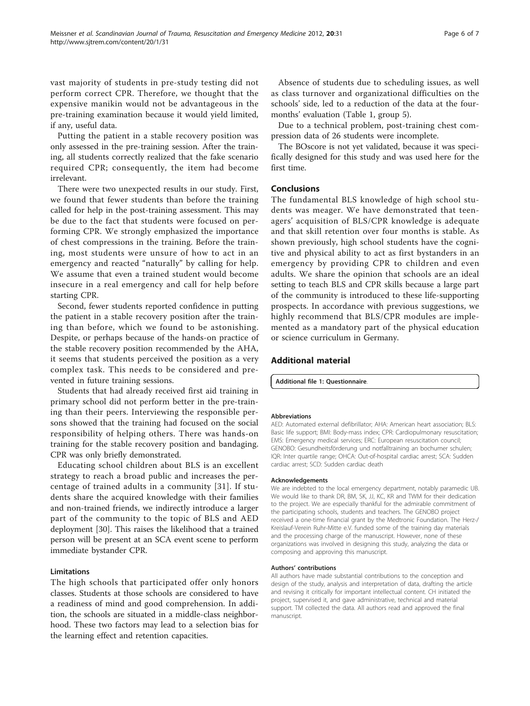<span id="page-5-0"></span>vast majority of students in pre-study testing did not perform correct CPR. Therefore, we thought that the expensive manikin would not be advantageous in the pre-training examination because it would yield limited, if any, useful data.

Putting the patient in a stable recovery position was only assessed in the pre-training session. After the training, all students correctly realized that the fake scenario required CPR; consequently, the item had become irrelevant.

There were two unexpected results in our study. First, we found that fewer students than before the training called for help in the post-training assessment. This may be due to the fact that students were focused on performing CPR. We strongly emphasized the importance of chest compressions in the training. Before the training, most students were unsure of how to act in an emergency and reacted "naturally" by calling for help. We assume that even a trained student would become insecure in a real emergency and call for help before starting CPR.

Second, fewer students reported confidence in putting the patient in a stable recovery position after the training than before, which we found to be astonishing. Despite, or perhaps because of the hands-on practice of the stable recovery position recommended by the AHA, it seems that students perceived the position as a very complex task. This needs to be considered and prevented in future training sessions.

Students that had already received first aid training in primary school did not perform better in the pre-training than their peers. Interviewing the responsible persons showed that the training had focused on the social responsibility of helping others. There was hands-on training for the stable recovery position and bandaging. CPR was only briefly demonstrated.

Educating school children about BLS is an excellent strategy to reach a broad public and increases the percentage of trained adults in a community [[31](#page-6-0)]. If students share the acquired knowledge with their families and non-trained friends, we indirectly introduce a larger part of the community to the topic of BLS and AED deployment [[30\]](#page-6-0). This raises the likelihood that a trained person will be present at an SCA event scene to perform immediate bystander CPR.

# Limitations

The high schools that participated offer only honors classes. Students at those schools are considered to have a readiness of mind and good comprehension. In addition, the schools are situated in a middle-class neighborhood. These two factors may lead to a selection bias for the learning effect and retention capacities.

Absence of students due to scheduling issues, as well as class turnover and organizational difficulties on the schools' side, led to a reduction of the data at the fourmonths' evaluation (Table [1,](#page-1-0) group 5).

Due to a technical problem, post-training chest compression data of 26 students were incomplete.

The BOscore is not yet validated, because it was specifically designed for this study and was used here for the first time.

# Conclusions

The fundamental BLS knowledge of high school students was meager. We have demonstrated that teenagers' acquisition of BLS/CPR knowledge is adequate and that skill retention over four months is stable. As shown previously, high school students have the cognitive and physical ability to act as first bystanders in an emergency by providing CPR to children and even adults. We share the opinion that schools are an ideal setting to teach BLS and CPR skills because a large part of the community is introduced to these life-supporting prospects. In accordance with previous suggestions, we highly recommend that BLS/CPR modules are implemented as a mandatory part of the physical education or science curriculum in Germany.

# Additional material

[Additional file 1: Q](http://www.biomedcentral.com/content/supplementary/1757-7241-20-31-S1.DOCX)uestionnaire.

#### Abbreviations

AED: Automated external defibrillator; AHA: American heart association; BLS: Basic life support; BMI: Body-mass index; CPR: Cardiopulmonary resuscitation; EMS: Emergency medical services; ERC: European resuscitation council; GENOBO: Gesundheitsförderung und notfalltraining an bochumer schulen; IQR: Inter quartile range; OHCA: Out-of-hospital cardiac arrest; SCA: Sudden cardiac arrest; SCD: Sudden cardiac death

#### Acknowledgements

We are indebted to the local emergency department, notably paramedic UB. We would like to thank DR, BM, SK, JJ, KC, KR and TWM for their dedication to the project. We are especially thankful for the admirable commitment of the participating schools, students and teachers. The GENOBO project received a one-time financial grant by the Medtronic Foundation. The Herz-/ Kreislauf-Verein Ruhr-Mitte e.V. funded some of the training day materials and the processing charge of the manuscript. However, none of these organizations was involved in designing this study, analyzing the data or composing and approving this manuscript.

#### Authors' contributions

All authors have made substantial contributions to the conception and design of the study, analysis and interpretation of data, drafting the article and revising it critically for important intellectual content. CH initiated the project, supervised it, and gave administrative, technical and material support. TM collected the data. All authors read and approved the final manuscript.